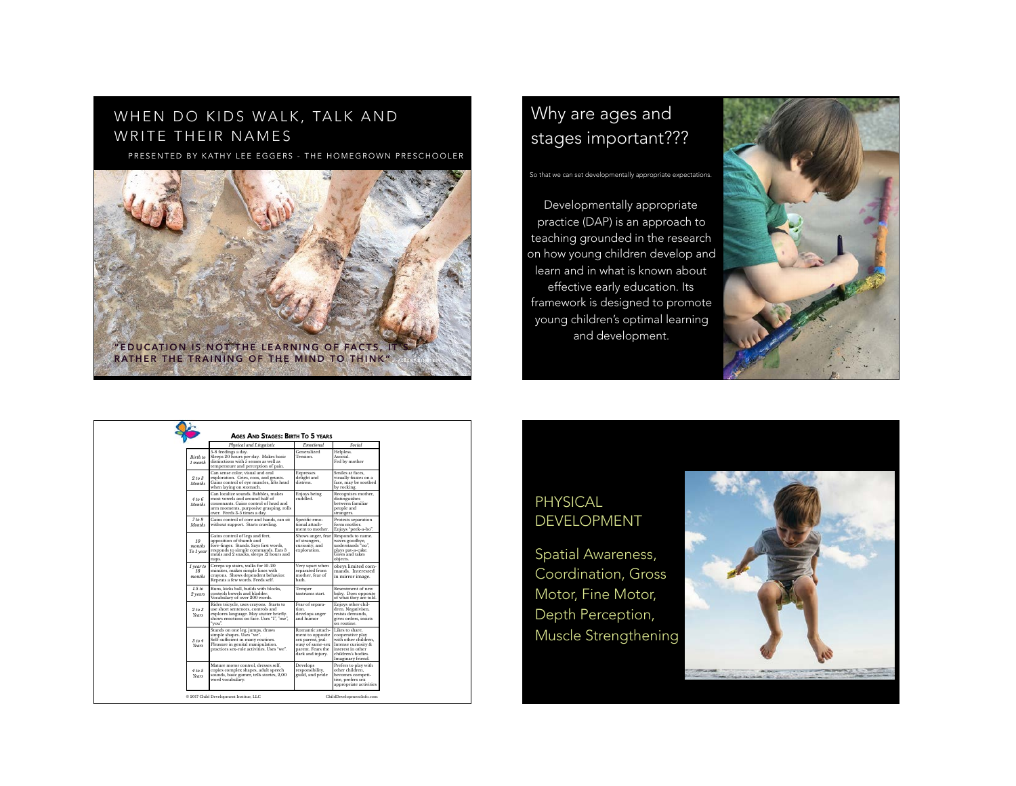# WHEN DO KIDS WALK, TALK AND WRITE THEIR NAMES

PRESENTED BY KATHY LEE EGGERS - THE HOMEGROWN PRESCHOOLER



# Why are ages and stages important???

So that we can set developmentally appropriate expectations

Developmentally appropriate practice (DAP) is an approach to teaching grounded in the research on how young children develop and learn and in what is known about effective early education. Its framework is designed to promote young children's optimal learning and development.



|                                         | Physical and Linguistic                                                                                                                                                                         | Emotional                                                                                                              | Social                                                                                                                                             |
|-----------------------------------------|-------------------------------------------------------------------------------------------------------------------------------------------------------------------------------------------------|------------------------------------------------------------------------------------------------------------------------|----------------------------------------------------------------------------------------------------------------------------------------------------|
| Birth to<br>1 month                     | 5-8 feedings a day.<br>Sleeps 20 hours per day. Makes basic<br>distinctions with 5 senses as well as<br>temperature and perception of pain.                                                     | Generalized<br><b>Tension</b>                                                                                          | Helpless.<br>Asocial<br>Fed by mother                                                                                                              |
| 2 to 3<br>Months                        | Can sense color, visual and oral<br>exploration. Cries, coos, and grunts.<br>Gains control of eve muscles, lifts head<br>when laying on stomach.                                                | <b>Expresses</b><br>delight and<br>distress.                                                                           | Smiles at faces.<br>visually fixates on a<br>face, may be soothed<br>by rocking.                                                                   |
| 4 to 6<br>Months                        | Can localize sounds. Babbles, makes<br>most vowels and around half of<br>consonants. Gains control of head and<br>arm moments, purposive grasping, rolls<br>over. Feeds 3-5 times a day.        | Enjoys being<br>cuddled.                                                                                               | Recognizes mother.<br>distinguishes<br>between familiar<br>people and<br>strangers.                                                                |
| 7 to 9<br>Months                        | Gains control of core and hands, can sit<br>without support. Starts crawling.                                                                                                                   | Specific emo-<br>tional attach-<br>ment to mother.                                                                     | Protests separation<br>form mother<br>Enjoys "peek-a-bo".                                                                                          |
| 10 <sup>10</sup><br>months<br>To 1 year | Gains control of legs and feet.<br>apposition of thumb and<br>fore-finger. Stands. Says first words,<br>responds to simple commands. Eats 3<br>meals and 2 snacks, sleeps 12 hours and<br>naps. | Shows anger, fear<br>of strangers,<br>curiosity, and<br>exploration.                                                   | Responds to name.<br>waves goodbye.<br>understands "no".<br>plays pat-a-cake.<br>Gives and takes<br>objects.                                       |
| 1 year to<br>18<br>months               | Creeps up stairs, walks for 10-20<br>minutes, makes simple lines with<br>crayons. Shows dependent behavior.<br>Repeats a few words. Feeds self.                                                 | Very upset when<br>separated from<br>mother, fear of<br>bath.                                                          | obevs limited com-<br>mands. Interested<br>in mirror image.                                                                                        |
| 1.5 to<br>2 years                       | Runs, kicks ball, builds with blocks.<br>controls bowels and bladder.<br>Vocabulary of over 200 words.                                                                                          | Temper<br>tantrums start                                                                                               | Resentment of new<br>baby. Does opposite<br>of what they are told.                                                                                 |
| 2 to 3<br><b>Years</b>                  | Rides tricycle, uses crayons. Starts to<br>use short sentences, controls and<br>explores language. May stutter briefly.<br>shows emotions on face. Uses "I". "me".<br>"vou".                    | Fear of separa-<br>tion.<br>develops anger<br>and humor                                                                | Enjoys other chil-<br>dren. Negativism.<br>resists demands.<br>gives orders, insists<br>on routine.                                                |
| 3 to 4<br><b>Years</b>                  | Stands on one leg, jumps, draws<br>simple shapes. Uses "we".<br>Self-sufficient in many routines.<br>Pleasure in genital manipulation.<br>practices sex-role activities. Uses "we".             | Romantic attach-<br>ment to opposite<br>sex parent, jeal-<br>ousy of same-sex<br>parent. Fears the<br>dark and injury. | Likes to share.<br>cooperative play<br>with other children.<br>Intense curiosity &<br>interest in other<br>children's bodies.<br>Imaginary friend. |
| 4 to 5<br>Years                         | Mature motor control, dresses self.<br>copies complex shapes, adult speech<br>sounds, basic gamer, tells stories, 2,00<br>word vocabulary.                                                      | Develops<br>responsibility.<br>guild, and pride                                                                        | Prefers to play with<br>other children.<br>becomes competi-<br>tive, prefers sex<br>appropriate activities                                         |

# PHYSICAL DEVELOPMENT

Spatial Awareness, Coordination, Gross Motor, Fine Motor, Depth Perception, Muscle Strengthening

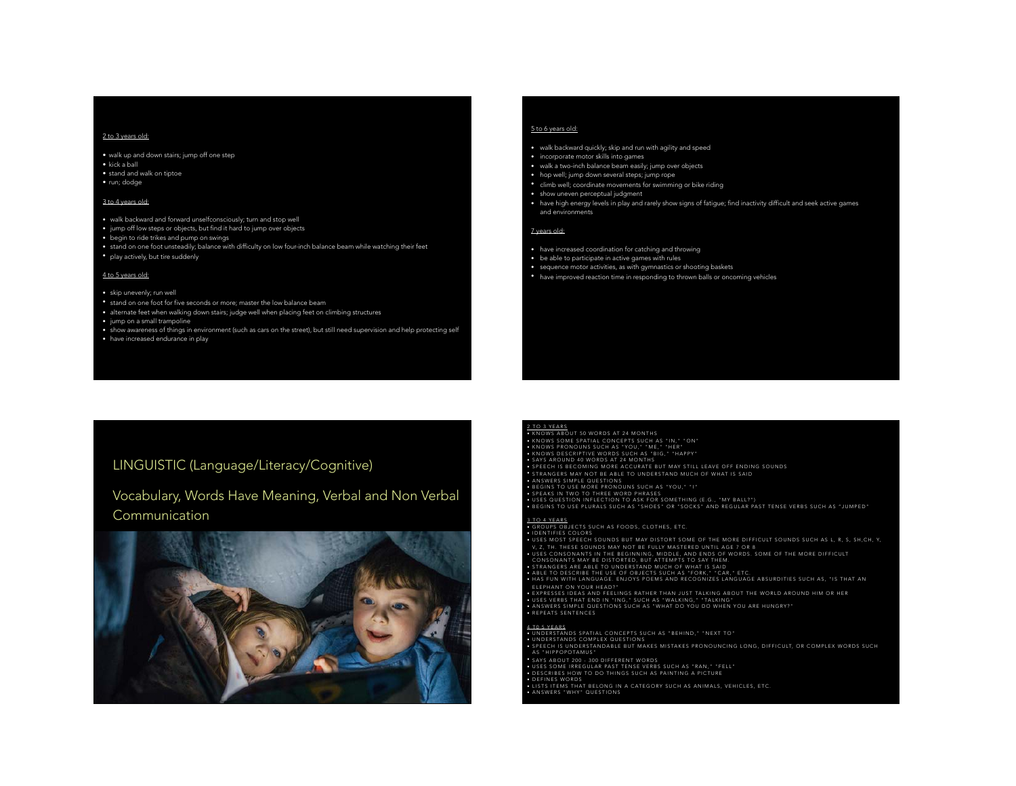## 2 to 3 years old:

• walk up and down stairs; jump off one step

• kick a ball

• stand and walk on tiptoe

• run; dodge

## 3 to 4 years old:

- walk backward and forward unselfconsciously; turn and stop well
- jump off low steps or objects, but find it hard to jump over objects
- begin to ride trikes and pump on swings
- stand on one foot unsteadily; balance with difficulty on low four-inch balance beam while watching their feet
- play actively, but tire suddenly

## 4 to 5 years old:

## • skip unevenly; run well

- stand on one foot for five seconds or more; master the low balance beam
- alternate feet when walking down stairs; judge well when placing feet on climbing structures
- jump on a small trampoline
- show awareness of things in environment (such as cars on the street), but still need supervision and help protecting self
- have increased endurance in play

## 5 to 6 years old:

- walk backward quickly; skip and run with agility and speed
- incorporate motor skills into games
- walk a two-inch balance beam easily; jump over objects
- hop well; jump down several steps; jump rope
- climb well; coordinate movements for swimming or bike riding
- show uneven perceptual judgment
- have high energy levels in play and rarely show signs of fatigue; find inactivity difficult and seek active games and environments

### 7 years old:

- have increased coordination for catching and throwing
- be able to participate in active games with rules
- sequence motor activities, as with gymnastics or shooting baskets
- have improved reaction time in responding to thrown balls or oncoming vehicles

# LINGUISTIC (Language/Literacy/Cognitive)

# Vocabulary, Words Have Meaning, Verbal and Non Verbal Communication



<u>2 TO 3 YEARS</u><br>• KNOWS ABOUT 50 WORDS AT 24 MONTHS • KNOWS SOME SPATIAL CONCEPTS SUCH AS "IN," "ON"

• KNOWS PRONOUNS SUCH AS "YOU," "ME," "HER" • KNOWS DESCRIPTIVE WORDS SUCH AS "BIG," "HAPPY"

• SAYS AROUND 40 WORDS AT 24 MONTHS • SPEECH IS BECOMING MORE ACCURATE BUT MAY STILL LEAVE OFF ENDING SOUNDS

• STRANGERS MAY NOT BE ABLE TO UNDERSTAND MUCH OF WHAT IS SAID

• ANSWERS SIMPLE QUESTIONS • BEGINS TO USE MORE PRONOUNS SUCH AS "YOU," "I"

• SPEAKS IN TWO TO THREE WORD PHRASES<br>• USES QUESTION INFLECTION TO ASK FOR SOMETHING (E.G., "MY BALL?")<br>• BEGINS TO USE PLURALS SUCH AS "SHOES" OR "SOCKS" AND REGULAR PAST TENSE VERBS SUCH AS "JUMPED"

3 TO 4 YEARS.<br>• GROUPS OBJECTS SUCH AS FOODS, CLOTHES, ETC.

• IDENTIFIES COLORS • USES MOST SPEECH SOUNDS BUT MAY DISTORT SOME OF THE MORE DIFFICULT SOUNDS SUCH AS L, R, S, SH,CH, Y,

V, 2, TH. THESE SOUNDS MAY NOT BE FULLY MASTERED UNTIL AGE 7 OR 8<br>CONSONANTS MAY BE DISTORTED, BUT ATTEMPTS TO SAY THEM.<br>CONSONANTS MAY BE DISTORTED, BUT ATTEMPTS TO SAY THEM.<br>• STRANGERS ARE ABLE TO UNDERSTAND MUCH OF WHA ELEPHANT ON YOUR HEAD?"

• EXPRESSES IDEAS AND FEELINGS RATHER THAN JUST TALKING ABOUT THE WORLD AROUND HIM OR HER<br>• USES VERBS THAT END IN \*ING,\* SUCH AS \*WALKING,\* \*TALKING\*<br>• ARSWERS SIMPERCES<br>• REPEATS SENTENCES

4 TO 5 YEARS<br>• UNDERSTANDS SPATIAL CONCEPTS SUCH AS "BEHIND," "NEXT TO"<br>• UNDERSTANDS COMPLEX QUESTIONS<br>• SPEECH IS UNDERSTANDABLE BUT MAKES MISTAKES PRONOUNCING LONG, DIFFICULT, OR COMPLEX WORDS SUCH AS "HIPPOPOTAMUS"

• SAYS ABOUT 200 - 300 DIFFERENT WORDS

• USES SOME IRREGULAR PAST TENSE VERBS SUCH AS "RAN," "FELL" • DESCRIBES HOW TO DO THINGS SUCH AS PAINTING A PICTURE

• DEFINES WORDS<br>• LISTS ITEMS THAT BELONG IN A CATEGORY SUCH AS ANIMALS, VEHICLES, ETC.<br>• ANSWERS "WHY" QUESTIONS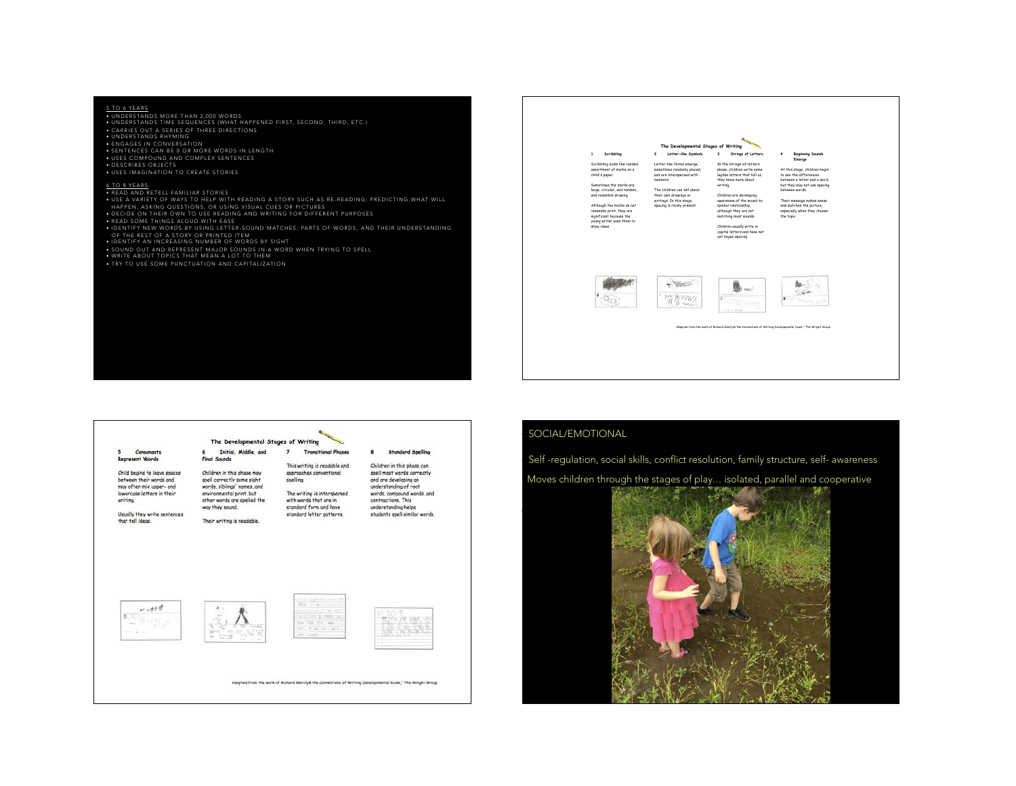## 5 TO 6 YEARS

• UNDERSTANDS MORE THAN 2,000 WORDS • UNDERSTANDS TIME SEQUENCES (WHAT HAPPENED FIRST, SECOND, THIRD, ETC.) • UNDERSTANDS RHYMING • ENGAGES IN CONVERSATION • SENTENCES CAN BE 8 OR MORE WORDS IN LENGTH • USES COMPOUND AND COMPLEX SENTENCES • DESCRIBES OBJECTS • USES IMAGINATION TO CREATE STORIES

## 6 TO 8 YEARS

• READ AND RETELL FAMILIAR STORIES • USE A VARIETY OF WAYS TO HELP WITH READING A STORY SUCH AS RE-READING, PREDICTING WHAT WILL

HAPPEN, ASKING QUESTIONS, OR USING VISUAL CUES OR PICTURES

• DECIDE ON THEIR OWN TO USE READING AND WRITING FOR DIFFERENT PURPOSES

• READ SOME THINGS ALOUD WITH EASE • IDENTIFY NEW WORDS BY USING LETTER-SOUND MATCHES, PARTS OF WORDS, AND THEIR UNDERSTANDING OF THE REST OF A STORY OR PRINTED ITEM • IDENTIFY AN INCREASING NUMBER OF WORDS BY SIGHT

• SOUND OUT AND REPRESENT MAJOR SOUNDS IN A WORD WHEN TRYING TO SPELL

• TRY TO USE SOME PUNCTUATION AND CAPITALIZATION





Adopted from the work of Richard Gentryd, the Conventions of Writing Developmental Scale," The Wright Group

## SOCIAL/EMOTIONAL

•

Self -regulation, social skills, conflict resolution, family structure, self- awareness

Moves children through the stages of play... isolated, parallel and cooperative

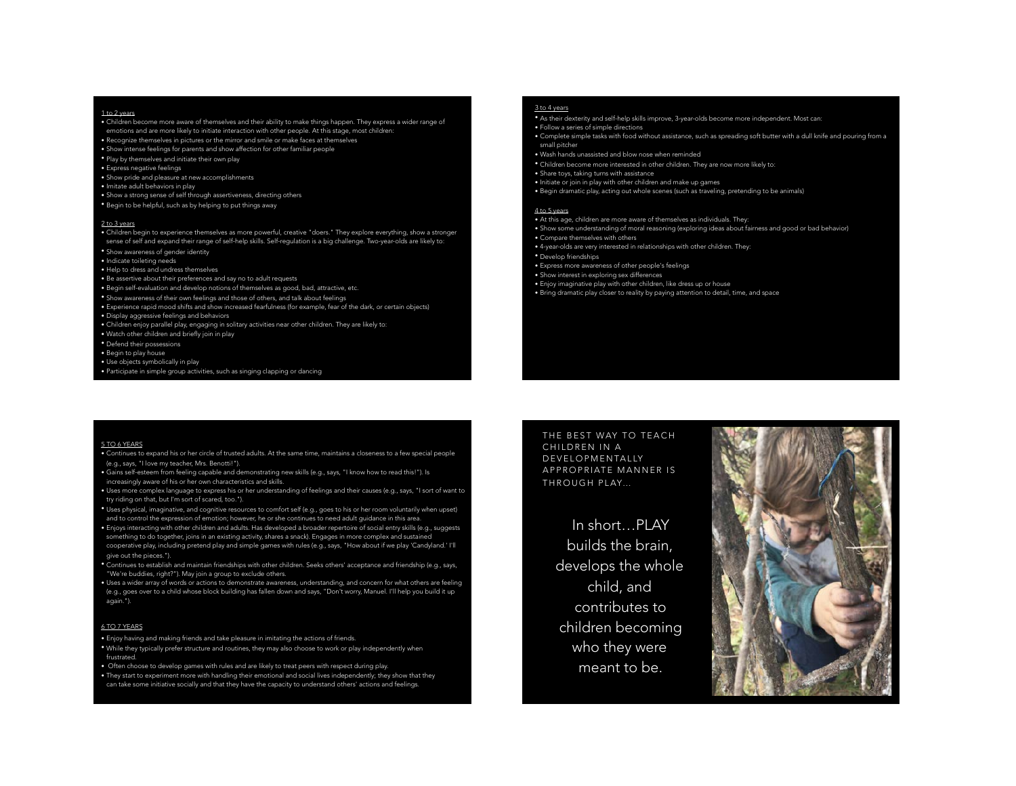## 1 to 2 years

- Children become more aware of themselves and their ability to make things happen. They express a wider range of emotions and are more likely to initiate interaction with other people. At this stage, most children:
- Recognize themselves in pictures or the mirror and smile or make faces at themselves
- Show intense feelings for parents and show affection for other familiar people
- Play by themselves and initiate their own play
- Express negative feelings
- Show pride and pleasure at new accomplishments
- Imitate adult behaviors in play
- Show a strong sense of self through assertiveness, directing others
- Begin to be helpful, such as by helping to put things away

## 2 to 3 years

- Children begin to experience themselves as more powerful, creative "doers." They explore everything, show a stronger sense of self and expand their range of self-help skills. Self-regulation is a big challenge. Two-year-olds are likely to:
- Show awareness of gender identity
- Indicate toileting needs
- Help to dress and undress themselves
- Be assertive about their preferences and say no to adult requests
- Begin self-evaluation and develop notions of themselves as good, bad, attractive, etc.
- Show awareness of their own feelings and those of others, and talk about feelings
- Experience rapid mood shifts and show increased fearfulness (for example, fear of the dark, or certain objects)
- Display aggressive feelings and behaviors
- Children enjoy parallel play, engaging in solitary activities near other children. They are likely to: • Watch other children and briefly join in play
- 
- Defend their possessions
- Begin to play house
- Use objects symbolically in play
- Participate in simple group activities, such as singing clapping or dancing

## 3 to 4 years

- As their dexterity and self-help skills improve, 3-year-olds become more independent. Most can:
- Follow a series of simple directions
- Complete simple tasks with food without assistance, such as spreading soft butter with a dull knife and pouring from a small pitcher
- Wash hands unassisted and blow nose when reminded
- Children become more interested in other children. They are now more likely to:
- Share toys, taking turns with assistance
- Initiate or join in play with other children and make up games
- Begin dramatic play, acting out whole scenes (such as traveling, pretending to be animals)

## 4 to 5 years

- At this age, children are more aware of themselves as individuals. They:
- Show some understanding of moral reasoning (exploring ideas about fairness and good or bad behavior) • Compare themselves with others
- 4-year-olds are very interested in relationships with other children. They:
- Develop friendships
- Express more awareness of other people's feelings
- Show interest in exploring sex differences
- Enjoy imaginative play with other children, like dress up or house
- Bring dramatic play closer to reality by paying attention to detail, time, and space

## 5 TO 6 YEARS

- Continues to expand his or her circle of trusted adults. At the same time, maintains a closeness to a few special people (e.g., says, "I love my teacher, Mrs. Benotti!").
- Gains self-esteem from feeling capable and demonstrating new skills (e.g., says, "I know how to read this!"). Is
- increasingly aware of his or her own characteristics and skills.
- Uses more complex language to express his or her understanding of feelings and their causes (e.g., says, "I sort of want to try riding on that, but I'm sort of scared, too.").
- Uses physical, imaginative, and cognitive resources to comfort self (e.g., goes to his or her room voluntarily when upset) and to control the expression of emotion; however, he or she continues to need adult guidance in this area.
- Enjoys interacting with other children and adults. Has developed a broader repertoire of social entry skills (e.g., suggests something to do together, joins in an existing activity, shares a snack). Engages in more complex and sustained cooperative play, including pretend play and simple games with rules (e.g., says, "How about if we play 'Candyland.' I'll give out the pieces.").
- Continues to establish and maintain friendships with other children. Seeks others' acceptance and friendship (e.g., says, "We're buddies, right?"). May join a group to exclude others.
- Uses a wider array of words or actions to demonstrate awareness, understanding, and concern for what others are feeling (e.g., goes over to a child whose block building has fallen down and says, "Don't worry, Manuel. I'll help you build it up again.").

## 6 TO 7 YEARS

- Enjoy having and making friends and take pleasure in imitating the actions of friends.
- While they typically prefer structure and routines, they may also choose to work or play independently when frustrated.
- Often choose to develop games with rules and are likely to treat peers with respect during play. • They start to experiment more with handling their emotional and social lives independently; they show that they

# can take some initiative socially and that they have the capacity to understand others' actions and feelings.

THE BEST WAY TO TEACH CHILDREN IN A DEVELOPMENTALLY APPROPRIATE MANNER IS THROUGH PLAY…

In short…PLAY builds the brain, develops the whole child, and contributes to children becoming who they were meant to be.